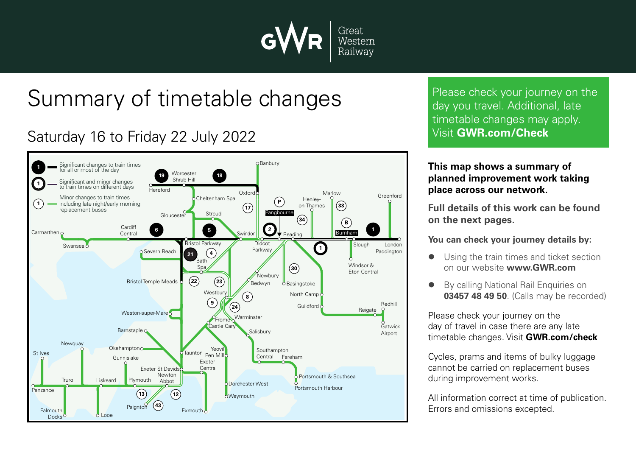

# Summary of timetable changes

### Saturday 16 to Friday 22 July 2022



Please check your journey on the day you travel. Additional, late timetable changes may apply. Visit **GWR.com/Check**

#### **This map shows a summary of planned improvement work taking place across our network.**

**Full details of this work can be found on the next pages.**

**You can check your journey details by:**

- Using the train times and ticket section on our website **www.GWR.com**
- By calling National Rail Enquiries on **03457 48 49 50**. (Calls may be recorded)

Please check your journey on the day of travel in case there are any late timetable changes. Visit **GWR.com/check**

Cycles, prams and items of bulky luggage cannot be carried on replacement buses during improvement works.

All information correct at time of publication. Errors and omissions excepted.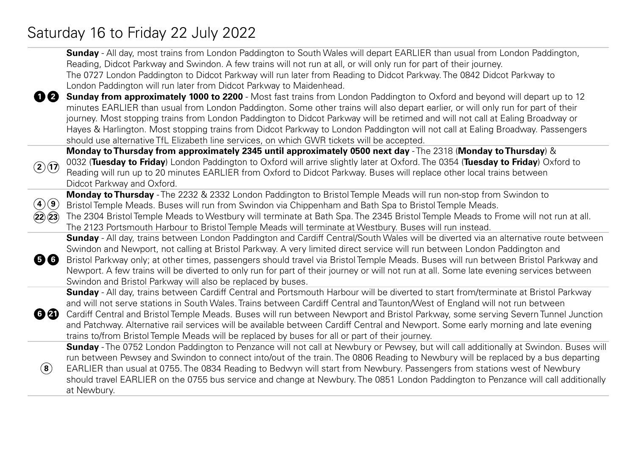## Saturday 16 to Friday 22 July 2022

|                                         | <b>Sunday</b> - All day, most trains from London Paddington to South Wales will depart EARLIER than usual from London Paddington,           |
|-----------------------------------------|---------------------------------------------------------------------------------------------------------------------------------------------|
|                                         | Reading, Didcot Parkway and Swindon. A few trains will not run at all, or will only run for part of their journey.                          |
|                                         | The 0727 London Paddington to Didcot Parkway will run later from Reading to Didcot Parkway. The 0842 Didcot Parkway to                      |
|                                         | London Paddington will run later from Didcot Parkway to Maidenhead.                                                                         |
| 00                                      | Sunday from approximately 1000 to 2200 - Most fast trains from London Paddington to Oxford and beyond will depart up to 12                  |
|                                         | minutes EARLIER than usual from London Paddington. Some other trains will also depart earlier, or will only run for part of their           |
|                                         | journey. Most stopping trains from London Paddington to Didcot Parkway will be retimed and will not call at Ealing Broadway or              |
|                                         | Hayes & Harlington. Most stopping trains from Didcot Parkway to London Paddington will not call at Ealing Broadway. Passengers              |
|                                         | should use alternative TfL Elizabeth line services, on which GWR tickets will be accepted.                                                  |
|                                         | Monday to Thursday from approximately 2345 until approximately 0500 next day - The 2318 (Monday to Thursday) &                              |
| $\bigcirc$ $\bigcirc$                   | 0032 (Tuesday to Friday) London Paddington to Oxford will arrive slightly later at Oxford. The 0354 (Tuesday to Friday) Oxford to           |
|                                         | Reading will run up to 20 minutes EARLIER from Oxford to Didcot Parkway. Buses will replace other local trains between                      |
|                                         | Didcot Parkway and Oxford.                                                                                                                  |
|                                         | Monday to Thursday - The 2232 & 2332 London Paddington to Bristol Temple Meads will run non-stop from Swindon to                            |
| $\bigcircled{\bf 4} \bigcircled{\bf 9}$ | Bristol Temple Meads. Buses will run from Swindon via Chippenham and Bath Spa to Bristol Temple Meads.                                      |
| $\mathbf{22} \mathbf{(23)}$             | The 2304 Bristol Temple Meads to Westbury will terminate at Bath Spa. The 2345 Bristol Temple Meads to Frome will not run at all.           |
|                                         | The 2123 Portsmouth Harbour to Bristol Temple Meads will terminate at Westbury. Buses will run instead.                                     |
|                                         | <b>Sunday</b> - All day, trains between London Paddington and Cardiff Central/South Wales will be diverted via an alternative route between |
| 56                                      | Swindon and Newport, not calling at Bristol Parkway. A very limited direct service will run between London Paddington and                   |
|                                         | Bristol Parkway only; at other times, passengers should travel via Bristol Temple Meads. Buses will run between Bristol Parkway and         |
|                                         | Newport. A few trains will be diverted to only run for part of their journey or will not run at all. Some late evening services between     |
|                                         | Swindon and Bristol Parkway will also be replaced by buses.                                                                                 |
|                                         | Sunday - All day, trains between Cardiff Central and Portsmouth Harbour will be diverted to start from/terminate at Bristol Parkway         |
| 69                                      | and will not serve stations in South Wales. Trains between Cardiff Central and Taunton/West of England will not run between                 |
|                                         | Cardiff Central and Bristol Temple Meads. Buses will run between Newport and Bristol Parkway, some serving Severn Tunnel Junction           |
|                                         | and Patchway. Alternative rail services will be available between Cardiff Central and Newport. Some early morning and late evening          |
|                                         | trains to/from Bristol Temple Meads will be replaced by buses for all or part of their journey.                                             |
|                                         | Sunday - The 0752 London Paddington to Penzance will not call at Newbury or Pewsey, but will call additionally at Swindon. Buses will       |
| (8)                                     | run between Pewsey and Swindon to connect into/out of the train. The 0806 Reading to Newbury will be replaced by a bus departing            |
|                                         | EARLIER than usual at 0755. The 0834 Reading to Bedwyn will start from Newbury. Passengers from stations west of Newbury                    |
|                                         | should travel EARLIER on the 0755 bus service and change at Newbury. The 0851 London Paddington to Penzance will call additionally          |
|                                         | at Newbury.                                                                                                                                 |